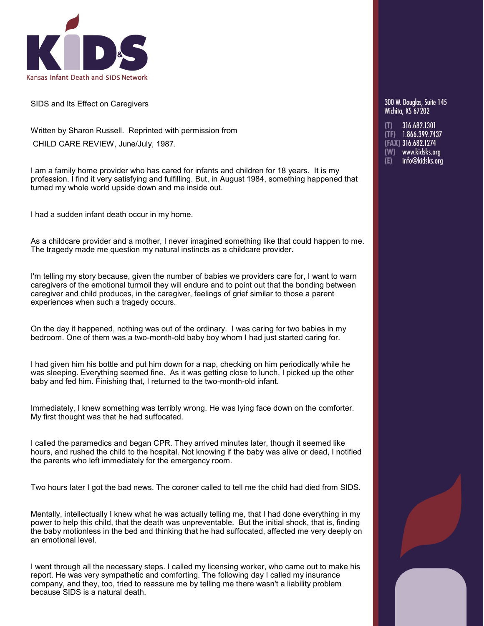

SIDS and Its Effect on Caregivers

Written by Sharon Russell. Reprinted with permission from CHILD CARE REVIEW, June/July, 1987.

I am a family home provider who has cared for infants and children for 18 years. It is my profession. I find it very satisfying and fulfilling. But, in August 1984, something happened that turned my whole world upside down and me inside out.

I had a sudden infant death occur in my home.

As a childcare provider and a mother, I never imagined something like that could happen to me. The tragedy made me question my natural instincts as a childcare provider.

I'm telling my story because, given the number of babies we providers care for, I want to warn caregivers of the emotional turmoil they will endure and to point out that the bonding between caregiver and child produces, in the caregiver, feelings of grief similar to those a parent experiences when such a tragedy occurs.

On the day it happened, nothing was out of the ordinary. I was caring for two babies in my bedroom. One of them was a two-month-old baby boy whom I had just started caring for.

I had given him his bottle and put him down for a nap, checking on him periodically while he was sleeping. Everything seemed fine. As it was getting close to lunch, I picked up the other baby and fed him. Finishing that, I returned to the two-month-old infant.

Immediately, I knew something was terribly wrong. He was lying face down on the comforter. My first thought was that he had suffocated.

I called the paramedics and began CPR. They arrived minutes later, though it seemed like hours, and rushed the child to the hospital. Not knowing if the baby was alive or dead, I notified the parents who left immediately for the emergency room.

Two hours later I got the bad news. The coroner called to tell me the child had died from SIDS.

Mentally, intellectually I knew what he was actually telling me, that I had done everything in my power to help this child, that the death was unpreventable. But the initial shock, that is, finding the baby motionless in the bed and thinking that he had suffocated, affected me very deeply on an emotional level.

I went through all the necessary steps. I called my licensing worker, who came out to make his report. He was very sympathetic and comforting. The following day I called my insurance company, and they, too, tried to reassure me by telling me there wasn't a liability problem because SIDS is a natural death.

300 W. Doualas. Suite 145 Wichita, KS 67202

(T) 316.682.1301<br>(TF) 1.866.399.7437 (FAX) 316.682.1274 (W) www.kidsks.org info@kidsks.org  $(E)$